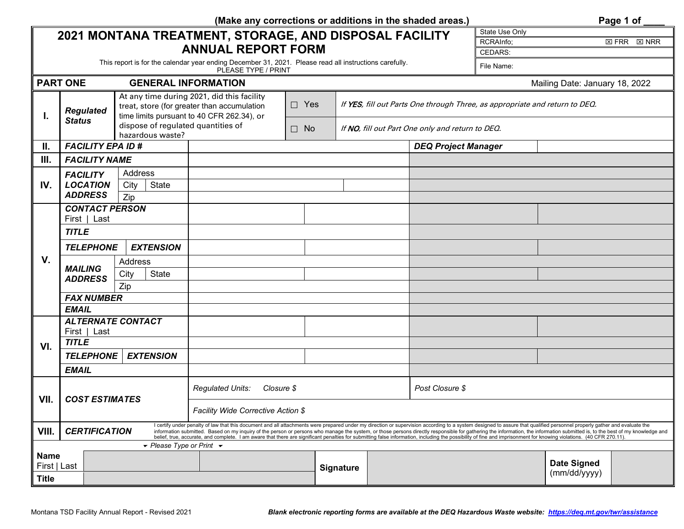| (Make any corrections or additions in the shaded areas.)<br>Page 1 of |                                               |                                                        |                                                                                                                                                                                                                     |  |                                                                                                                                 |  |                            |           |                                                                                                                                                                                                                                                                                                                                                                                                                                                           |  |  |
|-----------------------------------------------------------------------|-----------------------------------------------|--------------------------------------------------------|---------------------------------------------------------------------------------------------------------------------------------------------------------------------------------------------------------------------|--|---------------------------------------------------------------------------------------------------------------------------------|--|----------------------------|-----------|-----------------------------------------------------------------------------------------------------------------------------------------------------------------------------------------------------------------------------------------------------------------------------------------------------------------------------------------------------------------------------------------------------------------------------------------------------------|--|--|
| 2021 MONTANA TREATMENT, STORAGE, AND DISPOSAL FACILITY                |                                               |                                                        |                                                                                                                                                                                                                     |  |                                                                                                                                 |  | State Use Only             |           |                                                                                                                                                                                                                                                                                                                                                                                                                                                           |  |  |
|                                                                       |                                               |                                                        |                                                                                                                                                                                                                     |  |                                                                                                                                 |  |                            | RCRAInfo; | $\boxtimes$ FRR<br>$\boxtimes$ NRR                                                                                                                                                                                                                                                                                                                                                                                                                        |  |  |
| <b>ANNUAL REPORT FORM</b>                                             |                                               |                                                        |                                                                                                                                                                                                                     |  |                                                                                                                                 |  | <b>CEDARS:</b>             |           |                                                                                                                                                                                                                                                                                                                                                                                                                                                           |  |  |
|                                                                       |                                               |                                                        | PLEASE TYPE / PRINT                                                                                                                                                                                                 |  | This report is for the calendar year ending December 31, 2021. Please read all instructions carefully.<br>File Name:            |  |                            |           |                                                                                                                                                                                                                                                                                                                                                                                                                                                           |  |  |
|                                                                       | <b>PART ONE</b><br><b>GENERAL INFORMATION</b> |                                                        |                                                                                                                                                                                                                     |  |                                                                                                                                 |  |                            |           | Mailing Date: January 18, 2022                                                                                                                                                                                                                                                                                                                                                                                                                            |  |  |
| Т.                                                                    | <b>Regulated</b><br><b>Status</b>             | dispose of regulated quantities of<br>hazardous waste? | At any time during 2021, did this facility<br>$\Box$ Yes<br>treat, store (for greater than accumulation<br>time limits pursuant to 40 CFR 262.34), or<br>$\Box$ No                                                  |  | If YES, fill out Parts One through Three, as appropriate and return to DEO.<br>If NO, fill out Part One only and return to DEO. |  |                            |           |                                                                                                                                                                                                                                                                                                                                                                                                                                                           |  |  |
| Ш.                                                                    | <b>FACILITY EPA ID #</b>                      |                                                        |                                                                                                                                                                                                                     |  |                                                                                                                                 |  | <b>DEQ Project Manager</b> |           |                                                                                                                                                                                                                                                                                                                                                                                                                                                           |  |  |
| III.                                                                  | <b>FACILITY NAME</b>                          |                                                        |                                                                                                                                                                                                                     |  |                                                                                                                                 |  |                            |           |                                                                                                                                                                                                                                                                                                                                                                                                                                                           |  |  |
|                                                                       | <b>FACILITY</b>                               | Address                                                |                                                                                                                                                                                                                     |  |                                                                                                                                 |  |                            |           |                                                                                                                                                                                                                                                                                                                                                                                                                                                           |  |  |
| IV.                                                                   | <b>LOCATION</b>                               | State<br>City                                          |                                                                                                                                                                                                                     |  |                                                                                                                                 |  |                            |           |                                                                                                                                                                                                                                                                                                                                                                                                                                                           |  |  |
|                                                                       | <b>ADDRESS</b>                                | Zip                                                    |                                                                                                                                                                                                                     |  |                                                                                                                                 |  |                            |           |                                                                                                                                                                                                                                                                                                                                                                                                                                                           |  |  |
|                                                                       | <b>CONTACT PERSON</b>                         |                                                        |                                                                                                                                                                                                                     |  |                                                                                                                                 |  |                            |           |                                                                                                                                                                                                                                                                                                                                                                                                                                                           |  |  |
|                                                                       | First   Last                                  |                                                        |                                                                                                                                                                                                                     |  |                                                                                                                                 |  |                            |           |                                                                                                                                                                                                                                                                                                                                                                                                                                                           |  |  |
|                                                                       | <b>TITLE</b>                                  |                                                        |                                                                                                                                                                                                                     |  |                                                                                                                                 |  |                            |           |                                                                                                                                                                                                                                                                                                                                                                                                                                                           |  |  |
|                                                                       | <b>EXTENSION</b><br><b>TELEPHONE</b>          |                                                        |                                                                                                                                                                                                                     |  |                                                                                                                                 |  |                            |           |                                                                                                                                                                                                                                                                                                                                                                                                                                                           |  |  |
| V.                                                                    |                                               | Address                                                |                                                                                                                                                                                                                     |  |                                                                                                                                 |  |                            |           |                                                                                                                                                                                                                                                                                                                                                                                                                                                           |  |  |
|                                                                       | <b>MAILING</b><br><b>ADDRESS</b>              | City<br><b>State</b>                                   |                                                                                                                                                                                                                     |  |                                                                                                                                 |  |                            |           |                                                                                                                                                                                                                                                                                                                                                                                                                                                           |  |  |
|                                                                       |                                               | Zip                                                    |                                                                                                                                                                                                                     |  |                                                                                                                                 |  |                            |           |                                                                                                                                                                                                                                                                                                                                                                                                                                                           |  |  |
|                                                                       | <b>FAX NUMBER</b>                             |                                                        |                                                                                                                                                                                                                     |  |                                                                                                                                 |  |                            |           |                                                                                                                                                                                                                                                                                                                                                                                                                                                           |  |  |
|                                                                       | <b>EMAIL</b>                                  |                                                        |                                                                                                                                                                                                                     |  |                                                                                                                                 |  |                            |           |                                                                                                                                                                                                                                                                                                                                                                                                                                                           |  |  |
|                                                                       | <b>ALTERNATE CONTACT</b>                      |                                                        |                                                                                                                                                                                                                     |  |                                                                                                                                 |  |                            |           |                                                                                                                                                                                                                                                                                                                                                                                                                                                           |  |  |
|                                                                       | First   Last                                  |                                                        |                                                                                                                                                                                                                     |  |                                                                                                                                 |  |                            |           |                                                                                                                                                                                                                                                                                                                                                                                                                                                           |  |  |
| VI.                                                                   | <b>TITLE</b>                                  |                                                        |                                                                                                                                                                                                                     |  |                                                                                                                                 |  |                            |           |                                                                                                                                                                                                                                                                                                                                                                                                                                                           |  |  |
|                                                                       | <b>TELEPHONE</b>                              | <b>EXTENSION</b>                                       |                                                                                                                                                                                                                     |  |                                                                                                                                 |  |                            |           |                                                                                                                                                                                                                                                                                                                                                                                                                                                           |  |  |
|                                                                       | <b>EMAIL</b>                                  |                                                        |                                                                                                                                                                                                                     |  |                                                                                                                                 |  |                            |           |                                                                                                                                                                                                                                                                                                                                                                                                                                                           |  |  |
| VII.                                                                  | <b>COST ESTIMATES</b>                         |                                                        | Regulated Units:<br>Closure \$                                                                                                                                                                                      |  |                                                                                                                                 |  | Post Closure \$            |           |                                                                                                                                                                                                                                                                                                                                                                                                                                                           |  |  |
|                                                                       |                                               |                                                        | Facility Wide Corrective Action \$                                                                                                                                                                                  |  |                                                                                                                                 |  |                            |           |                                                                                                                                                                                                                                                                                                                                                                                                                                                           |  |  |
| VIII.                                                                 | <b>CERTIFICATION</b>                          |                                                        | belief, true, accurate, and complete. I am aware that there are significant penalties for submitting false information, including the possibility of fine and imprisonment for knowing violations. (40 CFR 270.11). |  |                                                                                                                                 |  |                            |           | I certify under penalty of law that this document and all attachments were prepared under my direction or supervision according to a system designed to assure that qualified personnel properly gather and evaluate the<br>information submitted. Based on my inquiry of the person or persons who manage the system, or those persons directly responsible for gathering the information, the information submitted is, to the best of my knowledge and |  |  |
| $\blacktriangleright$ Please Type or Print $\blacktriangleright$      |                                               |                                                        |                                                                                                                                                                                                                     |  |                                                                                                                                 |  |                            |           |                                                                                                                                                                                                                                                                                                                                                                                                                                                           |  |  |
| <b>Name</b><br>First   Last                                           |                                               |                                                        |                                                                                                                                                                                                                     |  | <b>Signature</b>                                                                                                                |  |                            |           | <b>Date Signed</b>                                                                                                                                                                                                                                                                                                                                                                                                                                        |  |  |
|                                                                       |                                               |                                                        |                                                                                                                                                                                                                     |  |                                                                                                                                 |  |                            |           | (mm/dd/yyyy)                                                                                                                                                                                                                                                                                                                                                                                                                                              |  |  |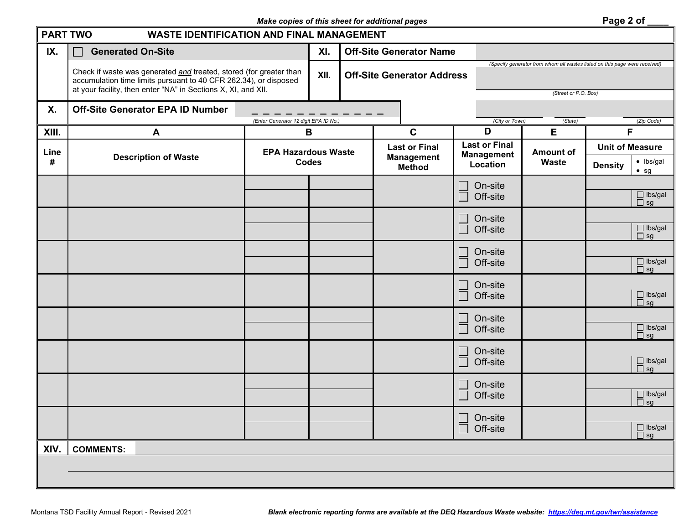## *Make copies of this sheet for additional pages* **Page 2 of Page 2 of Page 2 of**

| <b>PART TWO</b> | <b>WASTE IDENTIFICATION AND FINAL MANAGEMENT</b>                                                                                                                                                        |                                       |                                |                                    |                                                                                                    |                  |                        |                                                                              |
|-----------------|---------------------------------------------------------------------------------------------------------------------------------------------------------------------------------------------------------|---------------------------------------|--------------------------------|------------------------------------|----------------------------------------------------------------------------------------------------|------------------|------------------------|------------------------------------------------------------------------------|
| IX.             | <b>Generated On-Site</b>                                                                                                                                                                                | XI.                                   | <b>Off-Site Generator Name</b> |                                    |                                                                                                    |                  |                        |                                                                              |
|                 | Check if waste was generated and treated, stored (for greater than<br>accumulation time limits pursuant to 40 CFR 262.34), or disposed<br>at your facility, then enter "NA" in Sections X, XI, and XII. |                                       | XII.                           | <b>Off-Site Generator Address</b>  | (Specify generator from whom all wastes listed on this page were received)<br>(Street or P.O. Box) |                  |                        |                                                                              |
| <b>X.</b>       | <b>Off-Site Generator EPA ID Number</b>                                                                                                                                                                 | (Enter Generator 12 digit EPA ID No.) |                                |                                    | (City or Town)                                                                                     | (State)          |                        | (Zip Code)                                                                   |
| XIII.           | A                                                                                                                                                                                                       | B                                     |                                | $\mathbf c$                        | D                                                                                                  | E                | F                      |                                                                              |
| Line            |                                                                                                                                                                                                         |                                       | <b>EPA Hazardous Waste</b>     | <b>Last or Final</b>               | <b>Last or Final</b><br><b>Management</b>                                                          | <b>Amount of</b> | <b>Unit of Measure</b> |                                                                              |
| $\#$            | <b>Description of Waste</b>                                                                                                                                                                             | <b>Codes</b>                          |                                | <b>Management</b><br><b>Method</b> | Location                                                                                           | <b>Waste</b>     | <b>Density</b>         | $\bullet$ lbs/gal<br>$•$ sg                                                  |
|                 |                                                                                                                                                                                                         |                                       |                                |                                    | On-site<br>Off-site                                                                                |                  |                        | $\Box$ lbs/gal<br>$\Box$ sg                                                  |
|                 |                                                                                                                                                                                                         |                                       |                                |                                    | On-site<br>Off-site                                                                                |                  |                        | $\Box$ lbs/gal<br>$\Box$ sg                                                  |
|                 |                                                                                                                                                                                                         |                                       |                                |                                    | On-site<br>Off-site                                                                                |                  |                        | $\Box$ lbs/gal                                                               |
|                 |                                                                                                                                                                                                         |                                       |                                |                                    | On-site<br>Off-site                                                                                |                  |                        | $\Box$ sg<br>$\Box$ lbs/gal<br>$\Box$ sg                                     |
|                 |                                                                                                                                                                                                         |                                       |                                |                                    | On-site<br>Off-site                                                                                |                  |                        | $\Box$ lbs/gal<br>$\Box$ sg                                                  |
|                 |                                                                                                                                                                                                         |                                       |                                |                                    | On-site<br>Off-site                                                                                |                  |                        | $\Box$ lbs/gal<br>$\Box$ sg                                                  |
|                 |                                                                                                                                                                                                         |                                       |                                |                                    | On-site<br>Off-site                                                                                |                  |                        | $\begin{array}{c} \square \text{ lbs/gal} \\ \square \text{ sg} \end{array}$ |
|                 |                                                                                                                                                                                                         |                                       |                                |                                    | On-site<br>Off-site                                                                                |                  |                        | $\Box$ lbs/gal<br>$\Box$ sg                                                  |
| XIV.            | <b>COMMENTS:</b>                                                                                                                                                                                        |                                       |                                |                                    |                                                                                                    |                  |                        |                                                                              |
|                 |                                                                                                                                                                                                         |                                       |                                |                                    |                                                                                                    |                  |                        |                                                                              |

┙